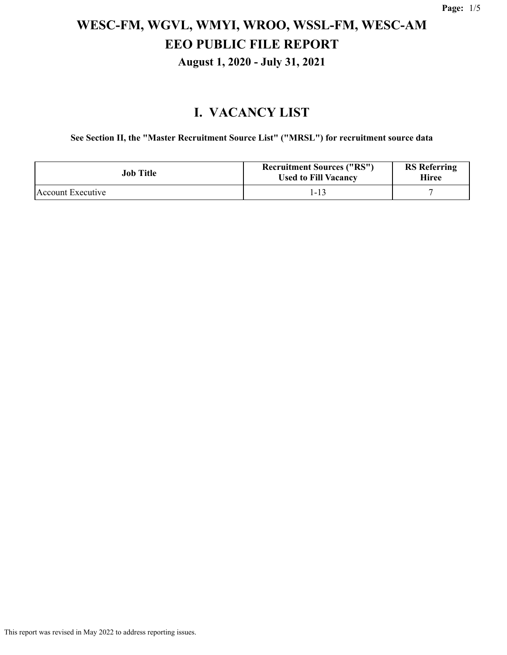### **I. VACANCY LIST**

**See Section II, the "Master Recruitment Source List" ("MRSL") for recruitment source data**

| <b>Job Title</b>  | <b>Recruitment Sources ("RS")</b><br><b>Used to Fill Vacancy</b> | <b>RS</b> Referring<br>Hiree |
|-------------------|------------------------------------------------------------------|------------------------------|
| Account Executive | 1-13                                                             |                              |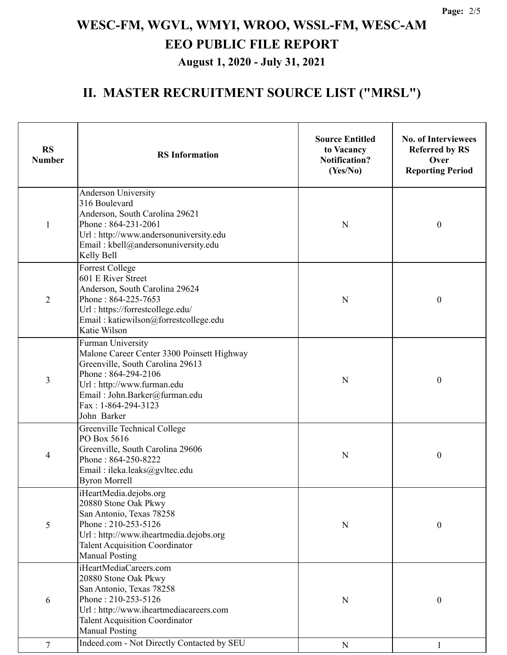### **II. MASTER RECRUITMENT SOURCE LIST ("MRSL")**

| <b>RS</b><br><b>Number</b> | <b>RS</b> Information                                                                                                                                                                                                           | <b>Source Entitled</b><br>to Vacancy<br><b>Notification?</b><br>(Yes/No) | <b>No. of Interviewees</b><br><b>Referred by RS</b><br>Over<br><b>Reporting Period</b> |
|----------------------------|---------------------------------------------------------------------------------------------------------------------------------------------------------------------------------------------------------------------------------|--------------------------------------------------------------------------|----------------------------------------------------------------------------------------|
| 1                          | <b>Anderson University</b><br>316 Boulevard<br>Anderson, South Carolina 29621<br>Phone: 864-231-2061<br>Url: http://www.andersonuniversity.edu<br>Email: kbell@andersonuniversity.edu<br>Kelly Bell                             | N                                                                        | $\boldsymbol{0}$                                                                       |
| $\overline{2}$             | <b>Forrest College</b><br>601 E River Street<br>Anderson, South Carolina 29624<br>Phone: 864-225-7653<br>Url: https://forrestcollege.edu/<br>Email: katiewilson@forrestcollege.edu<br>Katie Wilson                              | N                                                                        | $\boldsymbol{0}$                                                                       |
| 3                          | Furman University<br>Malone Career Center 3300 Poinsett Highway<br>Greenville, South Carolina 29613<br>Phone: 864-294-2106<br>Url: http://www.furman.edu<br>Email: John.Barker@furman.edu<br>Fax: 1-864-294-3123<br>John Barker | $\mathbf N$                                                              | $\boldsymbol{0}$                                                                       |
| 4                          | Greenville Technical College<br>PO Box 5616<br>Greenville, South Carolina 29606<br>Phone: 864-250-8222<br>Email: ileka.leaks@gvltec.edu<br><b>Byron Morrell</b>                                                                 | N                                                                        | $\boldsymbol{0}$                                                                       |
| 5                          | iHeartMedia.dejobs.org<br>20880 Stone Oak Pkwy<br>San Antonio, Texas 78258<br>Phone: 210-253-5126<br>Url: http://www.iheartmedia.dejobs.org<br><b>Talent Acquisition Coordinator</b><br><b>Manual Posting</b>                   | N                                                                        | $\boldsymbol{0}$                                                                       |
| 6                          | iHeartMediaCareers.com<br>20880 Stone Oak Pkwy<br>San Antonio, Texas 78258<br>Phone: 210-253-5126<br>Url: http://www.iheartmediacareers.com<br><b>Talent Acquisition Coordinator</b><br><b>Manual Posting</b>                   | N                                                                        | $\boldsymbol{0}$                                                                       |
| $\tau$                     | Indeed.com - Not Directly Contacted by SEU                                                                                                                                                                                      | ${\bf N}$                                                                | 1                                                                                      |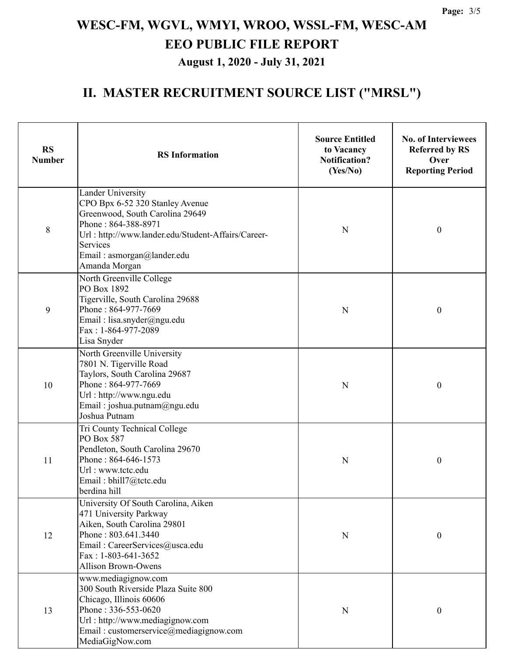### **II. MASTER RECRUITMENT SOURCE LIST ("MRSL")**

| <b>RS</b><br><b>Number</b> | <b>RS</b> Information                                                                                                                                                                                                                  | <b>Source Entitled</b><br>to Vacancy<br><b>Notification?</b><br>(Yes/No) | <b>No. of Interviewees</b><br><b>Referred by RS</b><br>Over<br><b>Reporting Period</b> |
|----------------------------|----------------------------------------------------------------------------------------------------------------------------------------------------------------------------------------------------------------------------------------|--------------------------------------------------------------------------|----------------------------------------------------------------------------------------|
| 8                          | <b>Lander University</b><br>CPO Bpx 6-52 320 Stanley Avenue<br>Greenwood, South Carolina 29649<br>Phone: 864-388-8971<br>Url: http://www.lander.edu/Student-Affairs/Career-<br>Services<br>Email: asmorgan@lander.edu<br>Amanda Morgan | ${\bf N}$                                                                | $\boldsymbol{0}$                                                                       |
| 9                          | North Greenville College<br>PO Box 1892<br>Tigerville, South Carolina 29688<br>Phone: 864-977-7669<br>Email: lisa.snyder@ngu.edu<br>Fax: 1-864-977-2089<br>Lisa Snyder                                                                 | N                                                                        | $\boldsymbol{0}$                                                                       |
| 10                         | North Greenville University<br>7801 N. Tigerville Road<br>Taylors, South Carolina 29687<br>Phone: 864-977-7669<br>Url: http://www.ngu.edu<br>Email: joshua.putnam@ngu.edu<br>Joshua Putnam                                             | $\mathbf N$                                                              | $\boldsymbol{0}$                                                                       |
| 11                         | Tri County Technical College<br>PO Box 587<br>Pendleton, South Carolina 29670<br>Phone: 864-646-1573<br>Url: www.tctc.edu<br>Email: bhill7@tctc.edu<br>berdina hill                                                                    | N                                                                        | $\boldsymbol{0}$                                                                       |
| 12                         | University Of South Carolina, Aiken<br>471 University Parkway<br>Aiken, South Carolina 29801<br>Phone: 803.641.3440<br>Email: CareerServices@usca.edu<br>Fax: 1-803-641-3652<br><b>Allison Brown-Owens</b>                             | ${\bf N}$                                                                | $\boldsymbol{0}$                                                                       |
| 13                         | www.mediagignow.com<br>300 South Riverside Plaza Suite 800<br>Chicago, Illinois 60606<br>Phone: 336-553-0620<br>Url: http://www.mediagignow.com<br>Email: customerservice@mediagignow.com<br>MediaGigNow.com                           | N                                                                        | 0                                                                                      |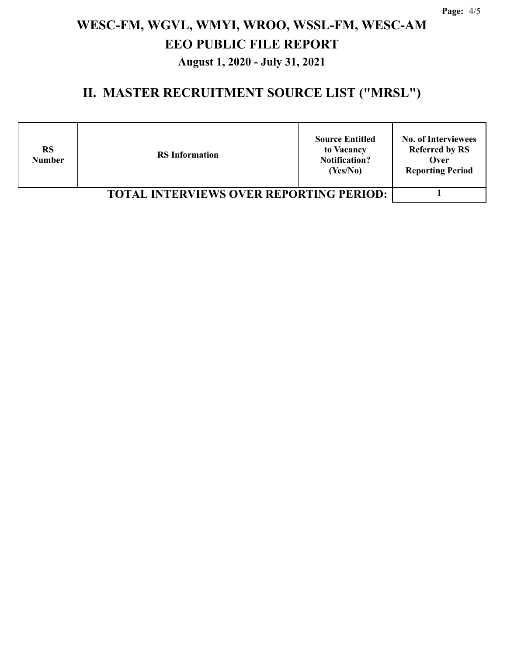### **II. MASTER RECRUITMENT SOURCE LIST ("MRSL")**

| <b>RS</b><br><b>Number</b>                     | <b>RS</b> Information | <b>Source Entitled</b><br>to Vacancy<br><b>Notification?</b><br>(Yes/No) | <b>No. of Interviewees</b><br><b>Referred by RS</b><br>Over<br><b>Reporting Period</b> |
|------------------------------------------------|-----------------------|--------------------------------------------------------------------------|----------------------------------------------------------------------------------------|
| <b>TOTAL INTERVIEWS OVER REPORTING PERIOD:</b> |                       |                                                                          |                                                                                        |